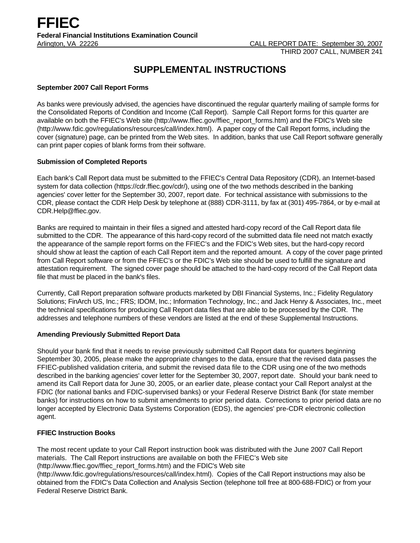# **SUPPLEMENTAL INSTRUCTIONS**

## **September 2007 Call Report Forms**

As banks were previously advised, the agencies have discontinued the regular quarterly mailing of sample forms for the Consolidated Reports of Condition and Income (Call Report). Sample Call Report forms for this quarter are available on both the FFIEC's Web site (http://www.ffiec.gov/ffiec\_report\_forms.htm) and the FDIC's Web site (http://www.fdic.gov/regulations/resources/call/index.html). A paper copy of the Call Report forms, including the cover (signature) page, can be printed from the Web sites. In addition, banks that use Call Report software generally can print paper copies of blank forms from their software.

## **Submission of Completed Reports**

Each bank's Call Report data must be submitted to the FFIEC's Central Data Repository (CDR), an Internet-based system for data collection (https://cdr.ffiec.gov/cdr/), using one of the two methods described in the banking agencies' cover letter for the September 30, 2007, report date. For technical assistance with submissions to the CDR, please contact the CDR Help Desk by telephone at (888) CDR-3111, by fax at (301) 495-7864, or by e-mail at CDR.Help@ffiec.gov.

Banks are required to maintain in their files a signed and attested hard-copy record of the Call Report data file submitted to the CDR. The appearance of this hard-copy record of the submitted data file need not match exactly the appearance of the sample report forms on the FFIEC's and the FDIC's Web sites, but the hard-copy record should show at least the caption of each Call Report item and the reported amount. A copy of the cover page printed from Call Report software or from the FFIEC's or the FDIC's Web site should be used to fulfill the signature and attestation requirement. The signed cover page should be attached to the hard-copy record of the Call Report data file that must be placed in the bank's files.

Currently, Call Report preparation software products marketed by DBI Financial Systems, Inc.; Fidelity Regulatory Solutions; FinArch US, Inc.; FRS; IDOM, Inc.; Information Technology, Inc.; and Jack Henry & Associates, Inc., meet the technical specifications for producing Call Report data files that are able to be processed by the CDR. The addresses and telephone numbers of these vendors are listed at the end of these Supplemental Instructions.

## **Amending Previously Submitted Report Data**

Should your bank find that it needs to revise previously submitted Call Report data for quarters beginning September 30, 2005, please make the appropriate changes to the data, ensure that the revised data passes the FFIEC-published validation criteria, and submit the revised data file to the CDR using one of the two methods described in the banking agencies' cover letter for the September 30, 2007, report date. Should your bank need to amend its Call Report data for June 30, 2005, or an earlier date, please contact your Call Report analyst at the FDIC (for national banks and FDIC-supervised banks) or your Federal Reserve District Bank (for state member banks) for instructions on how to submit amendments to prior period data. Corrections to prior period data are no longer accepted by Electronic Data Systems Corporation (EDS), the agencies' pre-CDR electronic collection agent.

# **FFIEC Instruction Books**

The most recent update to your Call Report instruction book was distributed with the June 2007 Call Report materials. The Call Report instructions are available on both the FFIEC's Web site (http://www.ffiec.gov/ffiec\_report\_forms.htm) and the FDIC's Web site

(http://www.fdic.gov/regulations/resources/call/index.html). Copies of the Call Report instructions may also be obtained from the FDIC's Data Collection and Analysis Section (telephone toll free at 800-688-FDIC) or from your Federal Reserve District Bank.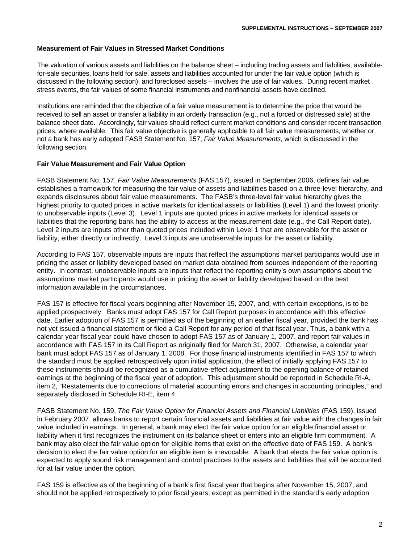#### **Measurement of Fair Values in Stressed Market Conditions**

The valuation of various assets and liabilities on the balance sheet – including trading assets and liabilities, availablefor-sale securities, loans held for sale, assets and liabilities accounted for under the fair value option (which is discussed in the following section), and foreclosed assets – involves the use of fair values. During recent market stress events, the fair values of some financial instruments and nonfinancial assets have declined.

Institutions are reminded that the objective of a fair value measurement is to determine the price that would be received to sell an asset or transfer a liability in an orderly transaction (e.g., not a forced or distressed sale) at the balance sheet date. Accordingly, fair values should reflect current market conditions and consider recent transaction prices, where available. This fair value objective is generally applicable to all fair value measurements, whether or not a bank has early adopted FASB Statement No. 157, *Fair Value Measurements*, which is discussed in the following section.

#### **Fair Value Measurement and Fair Value Option**

FASB Statement No. 157, *Fair Value Measurements* (FAS 157), issued in September 2006, defines fair value, establishes a framework for measuring the fair value of assets and liabilities based on a three-level hierarchy, and expands disclosures about fair value measurements. The FASB's three-level fair value hierarchy gives the highest priority to quoted prices in active markets for identical assets or liabilities (Level 1) and the lowest priority to unobservable inputs (Level 3). Level 1 inputs are quoted prices in active markets for identical assets or liabilities that the reporting bank has the ability to access at the measurement date (e.g., the Call Report date). Level 2 inputs are inputs other than quoted prices included within Level 1 that are observable for the asset or liability, either directly or indirectly. Level 3 inputs are unobservable inputs for the asset or liability.

According to FAS 157, observable inputs are inputs that reflect the assumptions market participants would use in pricing the asset or liability developed based on market data obtained from sources independent of the reporting entity. In contrast, unobservable inputs are inputs that reflect the reporting entity's own assumptions about the assumptions market participants would use in pricing the asset or liability developed based on the best information available in the circumstances.

FAS 157 is effective for fiscal years beginning after November 15, 2007, and, with certain exceptions, is to be applied prospectively. Banks must adopt FAS 157 for Call Report purposes in accordance with this effective date. Earlier adoption of FAS 157 is permitted as of the beginning of an earlier fiscal year, provided the bank has not yet issued a financial statement or filed a Call Report for any period of that fiscal year. Thus, a bank with a calendar year fiscal year could have chosen to adopt FAS 157 as of January 1, 2007, and report fair values in accordance with FAS 157 in its Call Report as originally filed for March 31, 2007. Otherwise, a calendar year bank must adopt FAS 157 as of January 1, 2008. For those financial instruments identified in FAS 157 to which the standard must be applied retrospectively upon initial application, the effect of initially applying FAS 157 to these instruments should be recognized as a cumulative-effect adjustment to the opening balance of retained earnings at the beginning of the fiscal year of adoption. This adjustment should be reported in Schedule RI-A, item 2, "Restatements due to corrections of material accounting errors and changes in accounting principles," and separately disclosed in Schedule RI-E, item 4.

FASB Statement No. 159, *The Fair Value Option for Financial Assets and Financial Liabilities* (FAS 159), issued in February 2007, allows banks to report certain financial assets and liabilities at fair value with the changes in fair value included in earnings. In general, a bank may elect the fair value option for an eligible financial asset or liability when it first recognizes the instrument on its balance sheet or enters into an eligible firm commitment. A bank may also elect the fair value option for eligible items that exist on the effective date of FAS 159. A bank's decision to elect the fair value option for an eligible item is irrevocable. A bank that elects the fair value option is expected to apply sound risk management and control practices to the assets and liabilities that will be accounted for at fair value under the option.

FAS 159 is effective as of the beginning of a bank's first fiscal year that begins after November 15, 2007, and should not be applied retrospectively to prior fiscal years, except as permitted in the standard's early adoption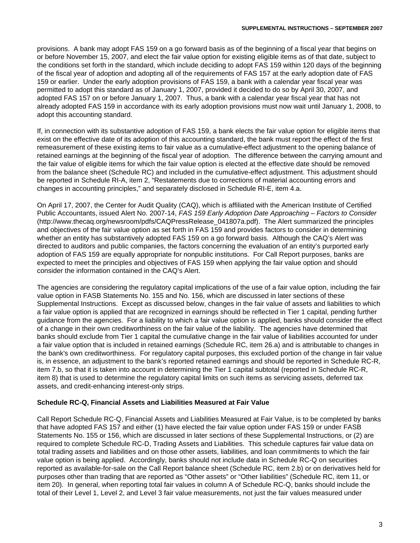provisions. A bank may adopt FAS 159 on a go forward basis as of the beginning of a fiscal year that begins on or before November 15, 2007, and elect the fair value option for existing eligible items as of that date, subject to the conditions set forth in the standard, which include deciding to adopt FAS 159 within 120 days of the beginning of the fiscal year of adoption and adopting all of the requirements of FAS 157 at the early adoption date of FAS 159 or earlier. Under the early adoption provisions of FAS 159, a bank with a calendar year fiscal year was permitted to adopt this standard as of January 1, 2007, provided it decided to do so by April 30, 2007, and adopted FAS 157 on or before January 1, 2007. Thus, a bank with a calendar year fiscal year that has not already adopted FAS 159 in accordance with its early adoption provisions must now wait until January 1, 2008, to adopt this accounting standard.

If, in connection with its substantive adoption of FAS 159, a bank elects the fair value option for eligible items that exist on the effective date of its adoption of this accounting standard, the bank must report the effect of the first remeasurement of these existing items to fair value as a cumulative-effect adjustment to the opening balance of retained earnings at the beginning of the fiscal year of adoption. The difference between the carrying amount and the fair value of eligible items for which the fair value option is elected at the effective date should be removed from the balance sheet (Schedule RC) and included in the cumulative-effect adjustment. This adjustment should be reported in Schedule RI-A, item 2, "Restatements due to corrections of material accounting errors and changes in accounting principles," and separately disclosed in Schedule RI-E, item 4.a.

On April 17, 2007, the Center for Audit Quality (CAQ), which is affiliated with the American Institute of Certified Public Accountants, issued Alert No. 2007-14, *FAS 159 Early Adoption Date Approaching – Factors to Consider*  (http://www.thecaq.org/newsroom/pdfs/CAQPressRelease\_041807a.pdf). The Alert summarized the principles and objectives of the fair value option as set forth in FAS 159 and provides factors to consider in determining whether an entity has substantively adopted FAS 159 on a go forward basis. Although the CAQ's Alert was directed to auditors and public companies, the factors concerning the evaluation of an entity's purported early adoption of FAS 159 are equally appropriate for nonpublic institutions. For Call Report purposes, banks are expected to meet the principles and objectives of FAS 159 when applying the fair value option and should consider the information contained in the CAQ's Alert.

The agencies are considering the regulatory capital implications of the use of a fair value option, including the fair value option in FASB Statements No. 155 and No. 156, which are discussed in later sections of these Supplemental Instructions. Except as discussed below, changes in the fair value of assets and liabilities to which a fair value option is applied that are recognized in earnings should be reflected in Tier 1 capital, pending further guidance from the agencies. For a liability to which a fair value option is applied, banks should consider the effect of a change in their own creditworthiness on the fair value of the liability. The agencies have determined that banks should exclude from Tier 1 capital the cumulative change in the fair value of liabilities accounted for under a fair value option that is included in retained earnings (Schedule RC, item 26.a) and is attributable to changes in the bank's own creditworthiness. For regulatory capital purposes, this excluded portion of the change in fair value is, in essence, an adjustment to the bank's reported retained earnings and should be reported in Schedule RC-R, item 7.b, so that it is taken into account in determining the Tier 1 capital subtotal (reported in Schedule RC-R, item 8) that is used to determine the regulatory capital limits on such items as servicing assets, deferred tax assets, and credit-enhancing interest-only strips.

# **Schedule RC-Q, Financial Assets and Liabilities Measured at Fair Value**

Call Report Schedule RC-Q, Financial Assets and Liabilities Measured at Fair Value, is to be completed by banks that have adopted FAS 157 and either (1) have elected the fair value option under FAS 159 or under FASB Statements No. 155 or 156, which are discussed in later sections of these Supplemental Instructions, or (2) are required to complete Schedule RC-D, Trading Assets and Liabilities. This schedule captures fair value data on total trading assets and liabilities and on those other assets, liabilities, and loan commitments to which the fair value option is being applied. Accordingly, banks should not include data in Schedule RC-Q on securities reported as available-for-sale on the Call Report balance sheet (Schedule RC, item 2.b) or on derivatives held for purposes other than trading that are reported as "Other assets" or "Other liabilities" (Schedule RC, item 11, or item 20). In general, when reporting total fair values in column A of Schedule RC-Q, banks should include the total of their Level 1, Level 2, and Level 3 fair value measurements, not just the fair values measured under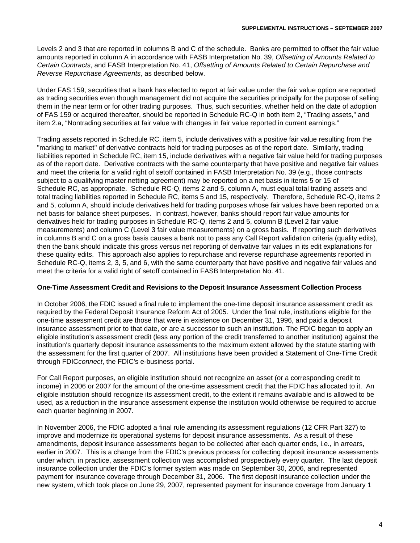Levels 2 and 3 that are reported in columns B and C of the schedule. Banks are permitted to offset the fair value amounts reported in column A in accordance with FASB Interpretation No. 39, *Offsetting of Amounts Related to Certain Contracts*, and FASB Interpretation No. 41, *Offsetting of Amounts Related to Certain Repurchase and Reverse Repurchase Agreements*, as described below.

Under FAS 159, securities that a bank has elected to report at fair value under the fair value option are reported as trading securities even though management did not acquire the securities principally for the purpose of selling them in the near term or for other trading purposes. Thus, such securities, whether held on the date of adoption of FAS 159 or acquired thereafter, should be reported in Schedule RC-Q in both item 2, "Trading assets," and item 2.a, "Nontrading securities at fair value with changes in fair value reported in current earnings."

Trading assets reported in Schedule RC, item 5, include derivatives with a positive fair value resulting from the "marking to market" of derivative contracts held for trading purposes as of the report date. Similarly, trading liabilities reported in Schedule RC, item 15, include derivatives with a negative fair value held for trading purposes as of the report date. Derivative contracts with the same counterparty that have positive and negative fair values and meet the criteria for a valid right of setoff contained in FASB Interpretation No. 39 (e.g., those contracts subject to a qualifying master netting agreement) may be reported on a net basis in items 5 or 15 of Schedule RC, as appropriate. Schedule RC-Q, items 2 and 5, column A, must equal total trading assets and total trading liabilities reported in Schedule RC, items 5 and 15, respectively. Therefore, Schedule RC-Q, items 2 and 5, column A, should include derivatives held for trading purposes whose fair values have been reported on a net basis for balance sheet purposes. In contrast, however, banks should report fair value amounts for derivatives held for trading purposes in Schedule RC-Q, items 2 and 5, column B (Level 2 fair value measurements) and column C (Level 3 fair value measurements) on a gross basis. If reporting such derivatives in columns B and C on a gross basis causes a bank not to pass any Call Report validation criteria (quality edits), then the bank should indicate this gross versus net reporting of derivative fair values in its edit explanations for these quality edits. This approach also applies to repurchase and reverse repurchase agreements reported in Schedule RC-Q, items 2, 3, 5, and 6, with the same counterparty that have positive and negative fair values and meet the criteria for a valid right of setoff contained in FASB Interpretation No. 41.

## **One-Time Assessment Credit and Revisions to the Deposit Insurance Assessment Collection Process**

In October 2006, the FDIC issued a final rule to implement the one-time deposit insurance assessment credit as required by the Federal Deposit Insurance Reform Act of 2005. Under the final rule, institutions eligible for the one-time assessment credit are those that were in existence on December 31, 1996, and paid a deposit insurance assessment prior to that date, or are a successor to such an institution. The FDIC began to apply an eligible institution's assessment credit (less any portion of the credit transferred to another institution) against the institution's quarterly deposit insurance assessments to the maximum extent allowed by the statute starting with the assessment for the first quarter of 2007. All institutions have been provided a Statement of One-Time Credit through FDIC*connect*, the FDIC's e-business portal.

For Call Report purposes, an eligible institution should not recognize an asset (or a corresponding credit to income) in 2006 or 2007 for the amount of the one-time assessment credit that the FDIC has allocated to it. An eligible institution should recognize its assessment credit, to the extent it remains available and is allowed to be used, as a reduction in the insurance assessment expense the institution would otherwise be required to accrue each quarter beginning in 2007.

In November 2006, the FDIC adopted a final rule amending its assessment regulations (12 CFR Part 327) to improve and modernize its operational systems for deposit insurance assessments. As a result of these amendments, deposit insurance assessments began to be collected after each quarter ends, i.e., in arrears, earlier in 2007. This is a change from the FDIC's previous process for collecting deposit insurance assessments under which, in practice, assessment collection was accomplished prospectively every quarter. The last deposit insurance collection under the FDIC's former system was made on September 30, 2006, and represented payment for insurance coverage through December 31, 2006. The first deposit insurance collection under the new system, which took place on June 29, 2007, represented payment for insurance coverage from January 1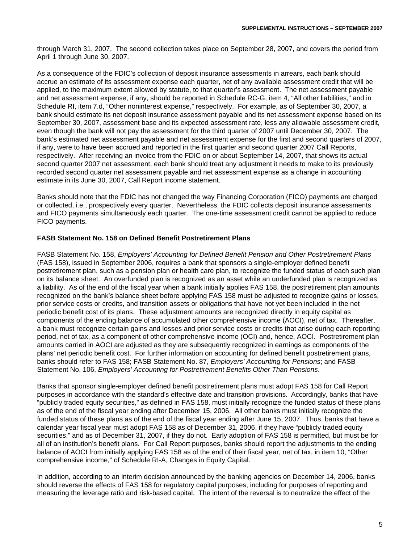through March 31, 2007. The second collection takes place on September 28, 2007, and covers the period from April 1 through June 30, 2007.

As a consequence of the FDIC's collection of deposit insurance assessments in arrears, each bank should accrue an estimate of its assessment expense each quarter, net of any available assessment credit that will be applied, to the maximum extent allowed by statute, to that quarter's assessment. The net assessment payable and net assessment expense, if any, should be reported in Schedule RC-G, item 4, "All other liabilities," and in Schedule RI, item 7.d, "Other noninterest expense," respectively. For example, as of September 30, 2007, a bank should estimate its net deposit insurance assessment payable and its net assessment expense based on its September 30, 2007, assessment base and its expected assessment rate, less any allowable assessment credit, even though the bank will not pay the assessment for the third quarter of 2007 until December 30, 2007. The bank's estimated net assessment payable and net assessment expense for the first and second quarters of 2007, if any, were to have been accrued and reported in the first quarter and second quarter 2007 Call Reports, respectively. After receiving an invoice from the FDIC on or about September 14, 2007, that shows its actual second quarter 2007 net assessment, each bank should treat any adjustment it needs to make to its previously recorded second quarter net assessment payable and net assessment expense as a change in accounting estimate in its June 30, 2007, Call Report income statement.

Banks should note that the FDIC has not changed the way Financing Corporation (FICO) payments are charged or collected, i.e., prospectively every quarter. Nevertheless, the FDIC collects deposit insurance assessments and FICO payments simultaneously each quarter. The one-time assessment credit cannot be applied to reduce FICO payments.

## **FASB Statement No. 158 on Defined Benefit Postretirement Plans**

FASB Statement No. 158, *Employers' Accounting for Defined Benefit Pension and Other Postretirement Plans* (FAS 158), issued in September 2006, requires a bank that sponsors a single-employer defined benefit postretirement plan, such as a pension plan or health care plan, to recognize the funded status of each such plan on its balance sheet. An overfunded plan is recognized as an asset while an underfunded plan is recognized as a liability. As of the end of the fiscal year when a bank initially applies FAS 158, the postretirement plan amounts recognized on the bank's balance sheet before applying FAS 158 must be adjusted to recognize gains or losses, prior service costs or credits, and transition assets or obligations that have not yet been included in the net periodic benefit cost of its plans. These adjustment amounts are recognized directly in equity capital as components of the ending balance of accumulated other comprehensive income (AOCI), net of tax. Thereafter, a bank must recognize certain gains and losses and prior service costs or credits that arise during each reporting period, net of tax, as a component of other comprehensive income (OCI) and, hence, AOCI. Postretirement plan amounts carried in AOCI are adjusted as they are subsequently recognized in earnings as components of the plans' net periodic benefit cost. For further information on accounting for defined benefit postretirement plans, banks should refer to FAS 158; FASB Statement No. 87, *Employers' Accounting for Pensions*; and FASB Statement No. 106, *Employers' Accounting for Postretirement Benefits Other Than Pensions*.

Banks that sponsor single-employer defined benefit postretirement plans must adopt FAS 158 for Call Report purposes in accordance with the standard's effective date and transition provisions. Accordingly, banks that have "publicly traded equity securities," as defined in FAS 158, must initially recognize the funded status of these plans as of the end of the fiscal year ending after December 15, 2006. All other banks must initially recognize the funded status of these plans as of the end of the fiscal year ending after June 15, 2007. Thus, banks that have a calendar year fiscal year must adopt FAS 158 as of December 31, 2006, if they have "publicly traded equity securities," and as of December 31, 2007, if they do not. Early adoption of FAS 158 is permitted, but must be for all of an institution's benefit plans. For Call Report purposes, banks should report the adjustments to the ending balance of AOCI from initially applying FAS 158 as of the end of their fiscal year, net of tax, in item 10, "Other comprehensive income," of Schedule RI-A, Changes in Equity Capital.

In addition, according to an interim decision announced by the banking agencies on December 14, 2006, banks should reverse the effects of FAS 158 for regulatory capital purposes, including for purposes of reporting and measuring the leverage ratio and risk-based capital. The intent of the reversal is to neutralize the effect of the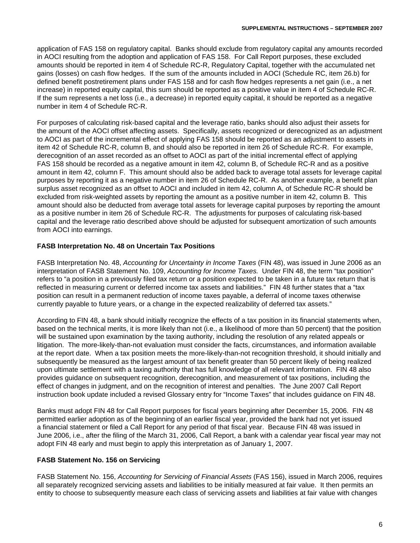application of FAS 158 on regulatory capital. Banks should exclude from regulatory capital any amounts recorded in AOCI resulting from the adoption and application of FAS 158. For Call Report purposes, these excluded amounts should be reported in item 4 of Schedule RC-R, Regulatory Capital, together with the accumulated net gains (losses) on cash flow hedges. If the sum of the amounts included in AOCI (Schedule RC, item 26.b) for defined benefit postretirement plans under FAS 158 and for cash flow hedges represents a net gain (i.e., a net increase) in reported equity capital, this sum should be reported as a positive value in item 4 of Schedule RC-R. If the sum represents a net loss (i.e., a decrease) in reported equity capital, it should be reported as a negative number in item 4 of Schedule RC-R.

For purposes of calculating risk-based capital and the leverage ratio, banks should also adjust their assets for the amount of the AOCI offset affecting assets. Specifically, assets recognized or derecognized as an adjustment to AOCI as part of the incremental effect of applying FAS 158 should be reported as an adjustment to assets in item 42 of Schedule RC-R, column B, and should also be reported in item 26 of Schedule RC-R. For example, derecognition of an asset recorded as an offset to AOCI as part of the initial incremental effect of applying FAS 158 should be recorded as a negative amount in item 42, column B, of Schedule RC-R and as a positive amount in item 42, column F. This amount should also be added back to average total assets for leverage capital purposes by reporting it as a negative number in item 26 of Schedule RC-R. As another example, a benefit plan surplus asset recognized as an offset to AOCI and included in item 42, column A, of Schedule RC-R should be excluded from risk-weighted assets by reporting the amount as a positive number in item 42, column B. This amount should also be deducted from average total assets for leverage capital purposes by reporting the amount as a positive number in item 26 of Schedule RC-R. The adjustments for purposes of calculating risk-based capital and the leverage ratio described above should be adjusted for subsequent amortization of such amounts from AOCI into earnings.

# **FASB Interpretation No. 48 on Uncertain Tax Positions**

FASB Interpretation No. 48, *Accounting for Uncertainty in Income Taxes* (FIN 48), was issued in June 2006 as an interpretation of FASB Statement No. 109, *Accounting for Income Taxes.* Under FIN 48, the term "tax position" refers to "a position in a previously filed tax return or a position expected to be taken in a future tax return that is reflected in measuring current or deferred income tax assets and liabilities." FIN 48 further states that a "tax position can result in a permanent reduction of income taxes payable, a deferral of income taxes otherwise currently payable to future years, or a change in the expected realizability of deferred tax assets."

According to FIN 48, a bank should initially recognize the effects of a tax position in its financial statements when, based on the technical merits, it is more likely than not (i.e., a likelihood of more than 50 percent) that the position will be sustained upon examination by the taxing authority, including the resolution of any related appeals or litigation. The more-likely-than-not evaluation must consider the facts, circumstances, and information available at the report date. When a tax position meets the more-likely-than-not recognition threshold, it should initially and subsequently be measured as the largest amount of tax benefit greater than 50 percent likely of being realized upon ultimate settlement with a taxing authority that has full knowledge of all relevant information. FIN 48 also provides guidance on subsequent recognition, derecognition, and measurement of tax positions, including the effect of changes in judgment, and on the recognition of interest and penalties. The June 2007 Call Report instruction book update included a revised Glossary entry for "Income Taxes" that includes guidance on FIN 48.

Banks must adopt FIN 48 for Call Report purposes for fiscal years beginning after December 15, 2006. FIN 48 permitted earlier adoption as of the beginning of an earlier fiscal year, provided the bank had not yet issued a financial statement or filed a Call Report for any period of that fiscal year. Because FIN 48 was issued in June 2006, i.e., after the filing of the March 31, 2006, Call Report, a bank with a calendar year fiscal year may not adopt FIN 48 early and must begin to apply this interpretation as of January 1, 2007.

# **FASB Statement No. 156 on Servicing**

FASB Statement No. 156, *Accounting for Servicing of Financial Assets* (FAS 156), issued in March 2006, requires all separately recognized servicing assets and liabilities to be initially measured at fair value. It then permits an entity to choose to subsequently measure each class of servicing assets and liabilities at fair value with changes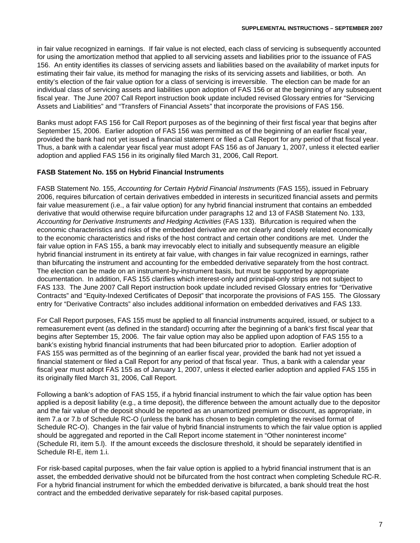in fair value recognized in earnings. If fair value is not elected, each class of servicing is subsequently accounted for using the amortization method that applied to all servicing assets and liabilities prior to the issuance of FAS 156. An entity identifies its classes of servicing assets and liabilities based on the availability of market inputs for estimating their fair value, its method for managing the risks of its servicing assets and liabilities, or both. An entity's election of the fair value option for a class of servicing is irreversible. The election can be made for an individual class of servicing assets and liabilities upon adoption of FAS 156 or at the beginning of any subsequent fiscal year. The June 2007 Call Report instruction book update included revised Glossary entries for "Servicing Assets and Liabilities" and "Transfers of Financial Assets" that incorporate the provisions of FAS 156.

Banks must adopt FAS 156 for Call Report purposes as of the beginning of their first fiscal year that begins after September 15, 2006. Earlier adoption of FAS 156 was permitted as of the beginning of an earlier fiscal year, provided the bank had not yet issued a financial statement or filed a Call Report for any period of that fiscal year. Thus, a bank with a calendar year fiscal year must adopt FAS 156 as of January 1, 2007, unless it elected earlier adoption and applied FAS 156 in its originally filed March 31, 2006, Call Report.

# **FASB Statement No. 155 on Hybrid Financial Instruments**

FASB Statement No. 155, *Accounting for Certain Hybrid Financial Instruments* (FAS 155), issued in February 2006, requires bifurcation of certain derivatives embedded in interests in securitized financial assets and permits fair value measurement (i.e., a fair value option) for any hybrid financial instrument that contains an embedded derivative that would otherwise require bifurcation under paragraphs 12 and 13 of FASB Statement No. 133, *Accounting for Derivative Instruments and Hedging Activities* (FAS 133). Bifurcation is required when the economic characteristics and risks of the embedded derivative are not clearly and closely related economically to the economic characteristics and risks of the host contract and certain other conditions are met. Under the fair value option in FAS 155, a bank may irrevocably elect to initially and subsequently measure an eligible hybrid financial instrument in its entirety at fair value, with changes in fair value recognized in earnings, rather than bifurcating the instrument and accounting for the embedded derivative separately from the host contract. The election can be made on an instrument-by-instrument basis, but must be supported by appropriate documentation. In addition, FAS 155 clarifies which interest-only and principal-only strips are not subject to FAS 133. The June 2007 Call Report instruction book update included revised Glossary entries for "Derivative Contracts" and "Equity-Indexed Certificates of Deposit" that incorporate the provisions of FAS 155. The Glossary entry for "Derivative Contracts" also includes additional information on embedded derivatives and FAS 133.

For Call Report purposes, FAS 155 must be applied to all financial instruments acquired, issued, or subject to a remeasurement event (as defined in the standard) occurring after the beginning of a bank's first fiscal year that begins after September 15, 2006. The fair value option may also be applied upon adoption of FAS 155 to a bank's existing hybrid financial instruments that had been bifurcated prior to adoption. Earlier adoption of FAS 155 was permitted as of the beginning of an earlier fiscal year, provided the bank had not yet issued a financial statement or filed a Call Report for any period of that fiscal year. Thus, a bank with a calendar year fiscal year must adopt FAS 155 as of January 1, 2007, unless it elected earlier adoption and applied FAS 155 in its originally filed March 31, 2006, Call Report.

Following a bank's adoption of FAS 155, if a hybrid financial instrument to which the fair value option has been applied is a deposit liability (e.g., a time deposit), the difference between the amount actually due to the depositor and the fair value of the deposit should be reported as an unamortized premium or discount, as appropriate, in item 7.a or 7.b of Schedule RC-O (unless the bank has chosen to begin completing the revised format of Schedule RC-O). Changes in the fair value of hybrid financial instruments to which the fair value option is applied should be aggregated and reported in the Call Report income statement in "Other noninterest income" (Schedule RI, item 5.l). If the amount exceeds the disclosure threshold, it should be separately identified in Schedule RI-E, item 1.i.

For risk-based capital purposes, when the fair value option is applied to a hybrid financial instrument that is an asset, the embedded derivative should not be bifurcated from the host contract when completing Schedule RC-R. For a hybrid financial instrument for which the embedded derivative is bifurcated, a bank should treat the host contract and the embedded derivative separately for risk-based capital purposes.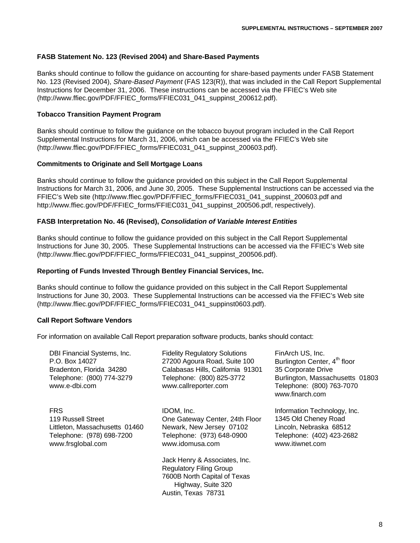## **FASB Statement No. 123 (Revised 2004) and Share-Based Payments**

Banks should continue to follow the guidance on accounting for share-based payments under FASB Statement No. 123 (Revised 2004), *Share-Based Payment* (FAS 123(R)), that was included in the Call Report Supplemental Instructions for December 31, 2006. These instructions can be accessed via the FFIEC's Web site (http://www.ffiec.gov/PDF/FFIEC\_forms/FFIEC031\_041\_suppinst\_200612.pdf).

#### **Tobacco Transition Payment Program**

Banks should continue to follow the guidance on the tobacco buyout program included in the Call Report Supplemental Instructions for March 31, 2006, which can be accessed via the FFIEC's Web site (http://www.ffiec.gov/PDF/FFIEC\_forms/FFIEC031\_041\_suppinst\_200603.pdf).

#### **Commitments to Originate and Sell Mortgage Loans**

Banks should continue to follow the guidance provided on this subject in the Call Report Supplemental Instructions for March 31, 2006, and June 30, 2005. These Supplemental Instructions can be accessed via the FFIEC's Web site (http://www.ffiec.gov/PDF/FFIEC\_forms/FFIEC031\_041\_suppinst\_200603.pdf and http://www.ffiec.gov/PDF/FFIEC\_forms/FFIEC031\_041\_suppinst\_200506.pdf, respectively).

## **FASB Interpretation No. 46 (Revised),** *Consolidation of Variable Interest Entities*

Banks should continue to follow the guidance provided on this subject in the Call Report Supplemental Instructions for June 30, 2005. These Supplemental Instructions can be accessed via the FFIEC's Web site (http://www.ffiec.gov/PDF/FFIEC\_forms/FFIEC031\_041\_suppinst\_200506.pdf).

#### **Reporting of Funds Invested Through Bentley Financial Services, Inc.**

Banks should continue to follow the guidance provided on this subject in the Call Report Supplemental Instructions for June 30, 2003. These Supplemental Instructions can be accessed via the FFIEC's Web site (http://www.ffiec.gov/PDF/FFIEC\_forms/FFIEC031\_041\_suppinst0603.pdf).

## **Call Report Software Vendors**

For information on available Call Report preparation software products, banks should contact:

| DBI Financial Systems, Inc.<br>P.O. Box 14027<br>Bradenton, Florida 34280<br>Telephone: (800) 774-3279<br>www.e-dbi.com | <b>Fidelity Regulatory Solutions</b><br>27200 Agoura Road, Suite 100<br>Calabasas Hills, California 91301<br>Telephone: (800) 825-3772<br>www.callreporter.com | FinArch US, Inc.<br>Burlington Center, 4 <sup>th</sup> floor<br>35 Corporate Drive<br>Burlington, Massachusetts 01803<br>Telephone: (800) 763-7070<br>www.finarch.com |
|-------------------------------------------------------------------------------------------------------------------------|----------------------------------------------------------------------------------------------------------------------------------------------------------------|-----------------------------------------------------------------------------------------------------------------------------------------------------------------------|
| <b>FRS</b><br>119 Russell Street<br>Littleton, Massachusetts 01460<br>Telephone: (978) 698-7200<br>www.frsglobal.com    | IDOM, Inc.<br>One Gateway Center, 24th Floor<br>Newark, New Jersey 07102<br>Telephone: (973) 648-0900<br>www.idomusa.com                                       | Information Technology, Inc.<br>1345 Old Cheney Road<br>Lincoln, Nebraska 68512<br>Telephone: (402) 423-2682<br>www.itiwnet.com                                       |
|                                                                                                                         | Jack Henry & Associates, Inc.<br><b>Regulatory Filing Group</b><br>7600B North Capital of Texas<br>Highway, Suite 320<br>Austin, Texas 78731                   |                                                                                                                                                                       |